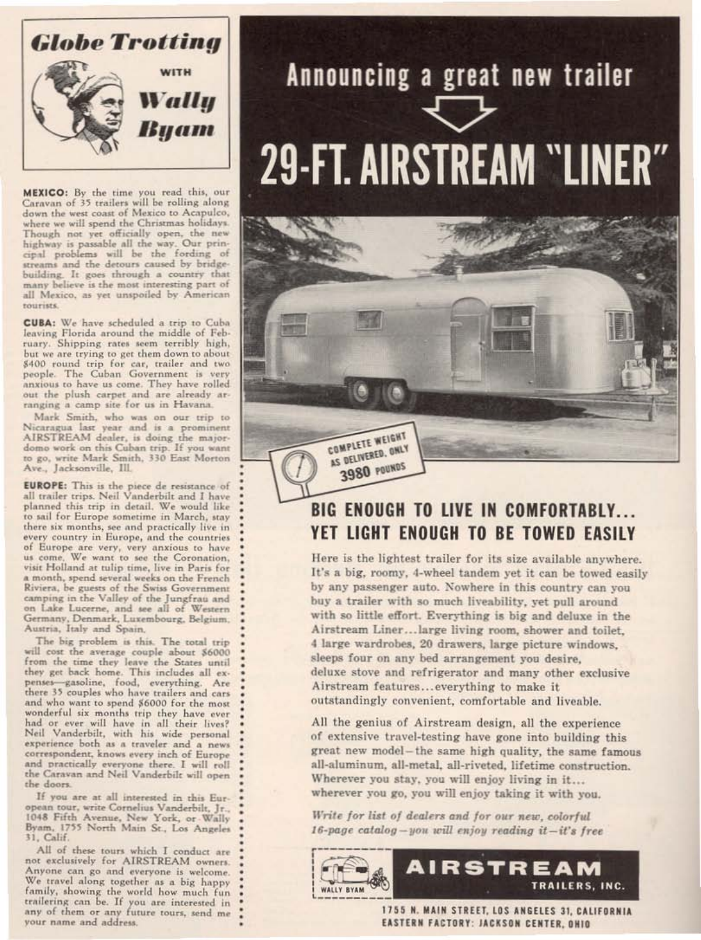

MEXICO: By the time you read this, our Caravan of 35 trailers will be rolling along<br>down the west coast of Mexico to Acapulco, where we will spend the Christmas holidays. Though not yet officially open, the new<br>highway is passable all the way. Our prin-<br>cipal problems will be the fording of streams and the detours caused by bridgebuilding. It goes through a country that many believe is the most interesting part of all Mexico, as yet unspoiled by American tourists.

CUBA: We have scheduled a trip to Cuba leaving Florida around the middle of February. Shipping rates seem terribly high, but we are trying to get them down to about \$400 round trip for car, trailer and two people. The Cuban Government is very<br>anxious to have us come. They have rolled<br>out the plush carpet and are already arranging a camp site for us in Havana.

Mark Smith, who was on our trip to Nicaragua last year and is a prominent AIRSTREAM dealer, is doing the majordomo work on this Cuban trip. If you want to go, write Mark Smith, 330 East Morton Ave., Jacksonville, Ill.

**EUROPE:** This is the piece de resistance of all trailer trips. Neil Vanderbilt and I have planned this trip in detail. We would like to sail for Europe sometime in March, stay there six months, see and practically live in every country in Europe, and the countries of Europe are very, very anxious to have us come. We want to see the Coronation, visit Holland at tulip time, live in Paris for a month, spend several weeks on the French Riviera, be guests of the Swiss Government camping in the Valley of the Jungfrau and on Lake Lucerne, and see all of Western<br>Germany, Denmark, Luxembourg, Belgium, Austria, Italy and Spain.

The big problem is this. The total trip will cost the average couple about \$6000 from the time they leave the States until they get back home. This includes all expenses-gasoline, food, everything. Are there 35 couples who have trailers and cars and who want to spend \$6000 for the most wonderful six months trip they have ever had or ever will have in all their lives? Neil Vanderbilt, with his wide personal experience both as a traveler and a news correspondent, knows every inch of Europe and practically everyone there. I will roll the Caravan and Neil Vanderbilt will open the doors.

If you are at all interested in this European tour, write Cornelius Vanderbilt, Jr., 1048 Fifth Avenue, New York, or Wally Byam, 1755 North Main St., Los Angeles 31, Calif.

All of these tours which I conduct are not exclusively for AIRSTREAM owners. Anyone can go and everyone is welcome. We travel along together as a big happy family, showing the world how much fun trailering can be. If you are interested in any of them or any future tours, send me your name and address.

# Announcing a great new trailer **29-FT. AIRSTREAM "LINER"**



# **BIG ENOUGH TO LIVE IN COMFORTABLY...** YET LIGHT ENOUGH TO BE TOWED EASILY

Here is the lightest trailer for its size available anywhere. It's a big, roomy, 4-wheel tandem yet it can be towed easily by any passenger auto. Nowhere in this country can you buy a trailer with so much liveability, yet pull around with so little effort. Everything is big and deluxe in the Airstream Liner...large living room, shower and toilet, 4 large wardrobes, 20 drawers, large picture windows, sleeps four on any bed arrangement you desire. deluxe stove and refrigerator and many other exclusive Airstream features...everything to make it outstandingly convenient, comfortable and liveable.

All the genius of Airstream design, all the experience of extensive travel-testing have gone into building this great new model-the same high quality, the same famous all-aluminum, all-metal, all-riveted, lifetime construction. Wherever you stay, you will enjoy living in it... wherever you go, you will enjoy taking it with you.

Write for list of dealers and for our new, colorful  $16$ -page catalog-you will enjoy reading it-it's free



1755 N. MAIN STREET, LOS ANGELES 31, CALIFORNIA EASTERN FACTORY: JACKSON CENTER, OHIO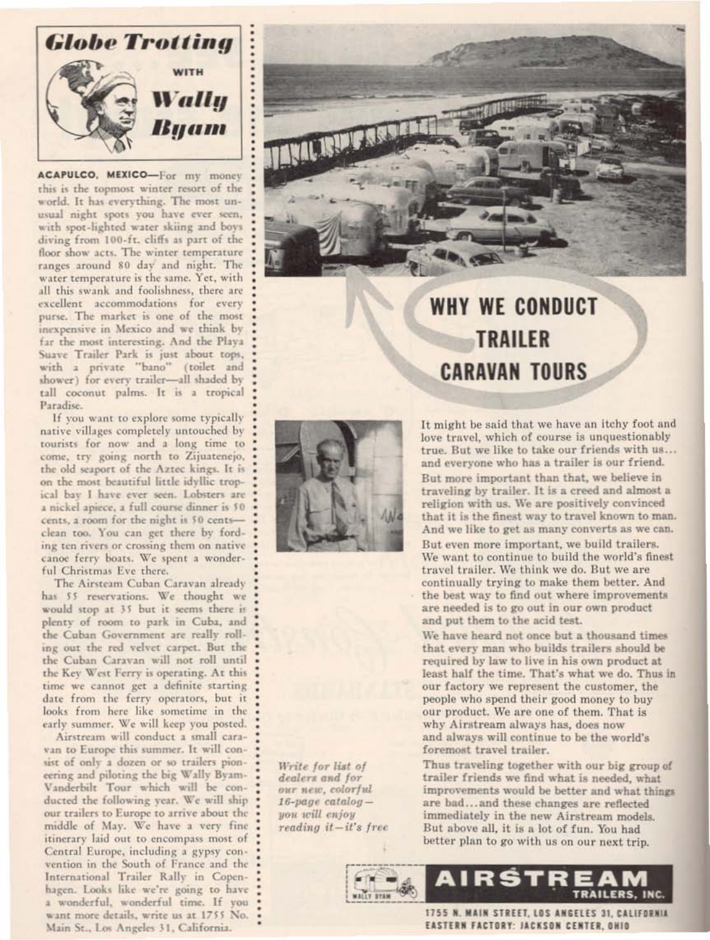

ACAPULCO, MEXICO-For my money this is the topmost winter resort of the world. It has everything. The most unusual night spots you have ever seen, with spot-lighted water skiing and boys diving from 100-ft. cliffs as part of the floor show acts. The winter temperature ranges around 80 day and night. The water temperature is the same. Yet, with all this swank and foolishness, there are excellent accommodations for every purse. The market is one of the most inexpensive in Mexico and we think by far the most interesting. And the Playa Suave Trailer Park is just about tops, with a private "bano" (toilet and shower) for every trailer-all shaded by tall coconut palms. It is a tropical Paradise.

If you want to explore some typically native villages completely untouched by tourists for now and a long time to come, try going north to Zijuatenejo, the old seaport of the Aztec kings. It is on the most beautiful little idyllic tropical bay I have ever seen. Lobsters are a nickel apiece, a full course dinner is \$0 cents, a room for the night is 50 centsclean too. You can get there by fording ten rivers or crossing them on native canoe ferry boats. We spent a wonderful Christmas Eve there.

The Airsteam Cuban Caravan already has 55 reservations. We thought we would stop at 35 but it seems there is plenty of room to park in Cuba, and the Cuban Government are really rolling out the red velvet carpet. But the the Cuban Caravan will not roll until the Key West Ferry is operating. At this time we cannot get a definite starting date from the ferry operators, but it looks from here like sometime in the early summer. We will keep you posted.

Airstream will conduct a small cara-



**CARAVAN TOURS** 



It might be said that we have an itchy foot and love travel, which of course is unquestionably true. But we like to take our friends with us... and everyone who has a trailer is our friend. But more important than that, we believe in traveling by trailer. It is a creed and almost a religion with us. We are positively convinced that it is the finest way to travel known to man. And we like to get as many converts as we can. But even more important, we build trailers. We want to continue to build the world's finest travel trailer. We think we do. But we are

continually trying to make them better. And the best way to find out where improvements are needed is to go out in our own product and put them to the acid test.

We have heard not once but a thousand times that every man who builds trailers should be required by law to live in his own product at least half the time. That's what we do. Thus in our factory we represent the customer, the people who spend their good money to buy our product. We are one of them. That is why Airstream always has, does now and always will continue to be the world's

van to Europe this summer. It will consist of only a dozen or so trailers pioneering and piloting the big Wally Byam-Vanderbilt Tour which will be conducted the following year. We will ship our trailers to Europe to arrive about the middle of May. We have a very fine itinerary laid out to encompass most of Central Europe, including a gypsy convention in the South of France and the International Trailer Rally in Copenhagen. Looks like we're going to have a wonderful, wonderful time. If you want more details, write us at 1755 No. Main St., Los Angeles 31, California.

Write for list of dealers and for our new, colorful  $16$ -page catalogyou will enjoy  $reading$   $it - it's$   $free$  foremost travel trailer.

Thus traveling together with our big group of trailer friends we find what is needed, what improvements would be better and what things are bad...and these changes are reflected immediately in the new Airstream models. But above all, it is a lot of fun. You had better plan to go with us on our next trip.



1755 N. MAIN STREET, LOS ANGELES 31, CALIFORNIA EASTERN FACTORY: JACKSON CENTER, OHIO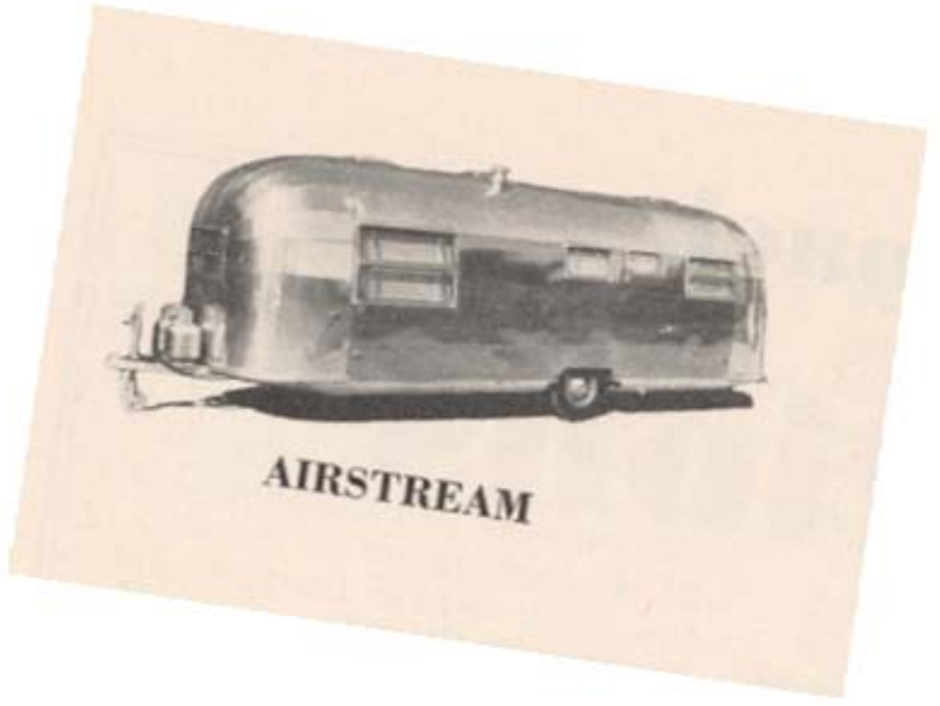

# **AIRSTREAM**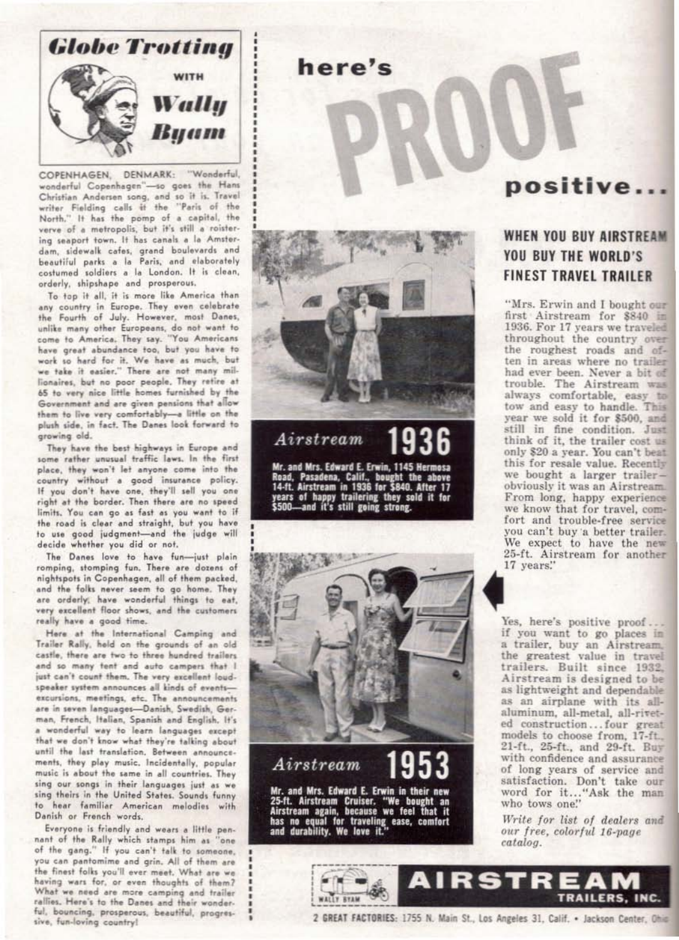

COPENHAGEN, DENMARK: "Wonderful, wonderful Copenhagen"-so goes the Hans Christian Andersen song, and so it is. Travel writer Fielding calls it the "Paris of the North." It has the pomp of a capital, the verve of a metropolis, but it's still a roistering seaport town. It has canals a la Amsterdam, sidewalk cafes, grand boulevards and beautiful parks a la Paris, and elaborately costumed soldiers a la London. It is clean, orderly, shipshape and prosperous.

To top it all, it is more like America than any country in Europe. They even celebrate the Fourth of July. However, most Danes, unlike many other Europeans, do not want to come to America. They say. "You Americans have great abundance too, but you have to work so hard for it. We have as much, but we take it easier." There are not many millionaires, but no poor people. They retire at 65 to very nice little homes furnished by the Government and are given pensions that allow them to live very comfortably-a little on the plush side, in fact. The Danes look forward to growing old.

They have the best highways in Europe and some rather unusual traffic laws. In the first place, they won't let anyone come into the country without a good insurance policy. If you don't have one, they'll sell you one right at the border. Then there are no speed limits. You can go as fast as you want to if the road is clear and straight, but you have to use good judgment-and the judge will decide whether you did or not.

The Danes love to have fun-just plain romping, stomping fun. There are dozens of nightspots in Copenhagen, all of them packed, and the folks never seem to go home. They are orderly, have wonderful things to eat, very excellent floor shows, and the customers really have a good time.

Here at the International Camping and Trailer Rally, held on the grounds of an old castle, there are two to three hundred trailers. and so many tent and auto campers that I just can't count them. The very excellent loudspeaker system announces all kinds of eventsexcursions, meetings, etc. The announcements are in seven languages-Danish, Swedish, German, French, Italian, Spanish and English. It's a wonderful way to learn languages except that we don't know what they're talking about until the last translation. Between announcements, they play music. Incidentally, popular music is about the same in all countries. They sing our songs in their languages just as we sing theirs in the United States. Sounds funny to hear familiar American melodies with Danish or French words. Everyone is friendly and wears a little pennant of the Rally which stamps him as "one of the gang." If you can't talk to someone. you can pantomime and grin. All of them are the finest folks you'll ever meet. What are we having wars for, or even thoughts of them? What we need are more camping and trailer rallies. Here's to the Danes and their wonderful, bouncing, prosperous, beautiful, progressive, fun-loving country!



here's

# Airstream

Mr. and Mrs. Edward E. Erwin, 1145 Hermosa<br>Road, Pasadena, Calif., bought the above<br>14-ft. Airstream in 1936 for \$840. After 17 years of happy trailering they sold it for \$500-and it's still going strong.



# positive...

## **WHEN YOU BUY AIRSTREAM** YOU BUY THE WORLD'S **FINEST TRAVEL TRAILER**

"Mrs. Erwin and I bought our first Airstream for \$840 in 1936. For 17 years we traveled throughout the country over the roughest roads and often in areas where no trailer had ever been. Never a bit of trouble. The Airstream was always comfortable, easy to tow and easy to handle. This year we sold it for \$500, and still in fine condition. Just think of it, the trailer cost us only \$20 a year. You can't beat this for resale value. Recently we bought a larger trailerobviously it was an Airstream. From long, happy experience we know that for travel, comfort and trouble-free service you can't buy a better trailer. We expect to have the new 25-ft. Airstream for another 17 years."

Yes, here's positive proof... if you want to go places in a trailer, buy an Airstream. the greatest value in travel trailers. Built since 1932, Airstream is designed to be as lightweight and dependable as an airplane with its allaluminum, all-metal, all-riveted construction...four great models to choose from, 17-ft., 21-ft., 25-ft., and 29-ft. Buy with confidence and assurance of long years of service and satisfaction. Don't take our word for it..."Ask the man who tows one."

Write for list of dealers and our free, colorful 16-page catalog.

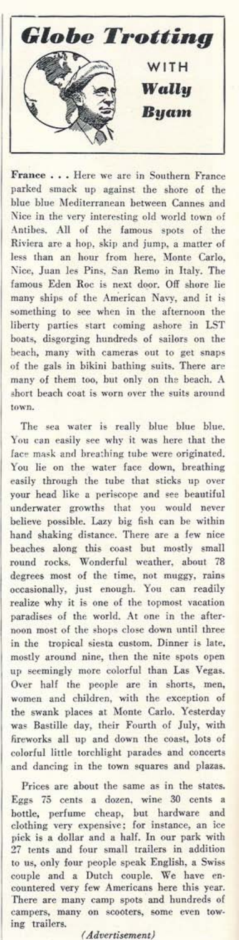**Globe Trotting** WITH Wallu **Buam** 

France . . . Here we are in Southern France parked smack up against the shore of the blue blue Mediterranean between Cannes and Nice in the very interesting old world town of Antibes. All of the famous spots of the Riviera are a hop, skip and jump, a matter of less than an hour from here, Monte Carlo, Nice, Juan les Pins, San Remo in Italy. The famous Eden Roc is next door. Off shore lie many ships of the American Navy, and it is something to see when in the afternoon the liberty parties start coming ashore in LST boats, disgorging hundreds of sailors on the beach, many with cameras out to get snaps of the gals in bikini bathing suits. There are many of them too, but only on the beach. A short beach coat is worn over the suits around town.

The sea water is really blue blue blue. You can easily see why it was here that the face mask and breathing tube were originated. You lie on the water face down, breathing easily through the tube that sticks up over your head like a periscope and see beautiful underwater growths that you would never believe possible. Lazy big fish can be within hand shaking distance. There are a few nice beaches along this coast but mostly small round rocks. Wonderful weather, about 78 degrees most of the time, not muggy, rains occasionally, just enough. You can readily realize why it is one of the topmost vacation paradises of the world. At one in the afternoon most of the shops close down until three in the tropical siesta custom, Dinner is late, mostly around nine, then the nite spots open up seemingly more colorful than Las Vegas. Over half the people are in shorts, men, women and children, with the exception of<br>the swank places at Monte Carlo. Yesterday was Bastille day, their Fourth of July, with fireworks all up and down the coast, lots of colorful little torchlight parades and concerts and dancing in the town squares and plazas.

Prices are about the same as in the states. Eggs 75 cents a dozen, wine 30 cents a bottle, perfume cheap, but hardware and<br>clothing very expensive; for instance, an ice pick is a dollar and a half. In our park with 27 tents and four small trailers in addition to us, only four people speak English, a Swiss<br>couple and a Dutch couple. We have encountered very few Americans here this year. There are many camp spots and hundreds of campers, many on scooters, some even towing trailers.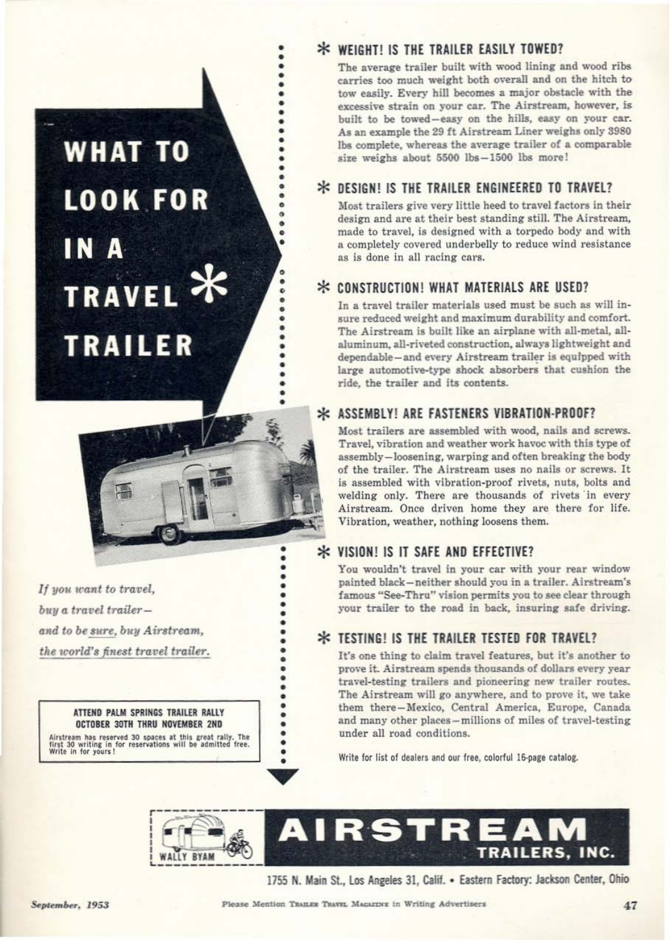### **WHAT TO LOOK FOR** IN A **TRAVEL Y TRAILER**



.

 $\bullet$ 

.

 $\bullet$  $\ddot{\phantom{0}}\phantom{0}\phantom{0}$ 

 $\bullet$ 

 $\bullet$ 

......

 $\ddot{\phantom{0}}$ 

ö

ö

 $\bullet$ 

ö

٠

 $\bullet$ 

If you want to travel. buy a travel trailerand to be sure, buy Airstream, the world's finest travel trailer.

> ATTEND PALM SPRINGS TRAILER RALLY **OCTOBER 30TH THRU NOVEMBER 2ND**

Airstream has reserved 30 spaces at this great raily. The<br>first 30 writing in for reservations will be admitted free.<br>Write in for yours!

#### \* WEIGHT! IS THE TRAILER EASILY TOWED?

The average trailer built with wood lining and wood ribs carries too much weight both overall and on the hitch to tow easily. Every hill becomes a major obstacle with the excessive strain on your car. The Airstream, however, is built to be towed-easy on the hills, easy on your car. As an example the 29 ft Airstream Liner weighs only 3980 lbs complete, whereas the average trailer of a comparable size weighs about 5500 lbs-1500 lbs more!

#### \* DESIGN! IS THE TRAILER ENGINEERED TO TRAVEL?

Most trailers give very little heed to travel factors in their design and are at their best standing still. The Airstream, made to travel, is designed with a torpedo body and with a completely covered underbelly to reduce wind resistance as is done in all racing cars.

#### \* CONSTRUCTION! WHAT MATERIALS ARE USED?

In a travel trailer materials used must be such as will insure reduced weight and maximum durability and comfort. The Airstream is built like an airplane with all-metal, allaluminum, all-riveted construction, always lightweight and dependable-and every Airstream trailer is equipped with large automotive-type shock absorbers that cushion the ride, the trailer and its contents.

#### **\* ASSEMBLYLARE FASTENERS VIBRATION-PROOF?**

Most trailers are assembled with wood, nails and screws. Travel, vibration and weather work havoc with this type of assembly-loosening, warping and often breaking the body of the trailer. The Airstream uses no nails or screws. It is assembled with vibration-proof rivets, nuts, bolts and welding only. There are thousands of rivets in every Airstream. Once driven home they are there for life. Vibration, weather, nothing loosens them.

#### \* VISION! IS IT SAFE AND EFFECTIVE?

You wouldn't travel in your car with your rear window painted black-neither should you in a trailer. Airstream's famous "See-Thru" vision permits you to see clear through your trailer to the road in back, insuring safe driving.

#### \* TESTING! IS THE TRAILER TESTED FOR TRAVEL?

It's one thing to claim travel features, but it's another to prove it. Airstream spends thousands of dollars every year travel-testing trailers and pioneering new trailer routes. The Airstream will go anywhere, and to prove it, we take them there-Mexico, Central America, Europe, Canada and many other places-millions of miles of travel-testing under all road conditions.

Write for list of dealers and our free, colorful 16-page catalog.



1755 N. Main St., Los Angeles 31, Calif. . Eastern Factory: Jackson Center, Ohio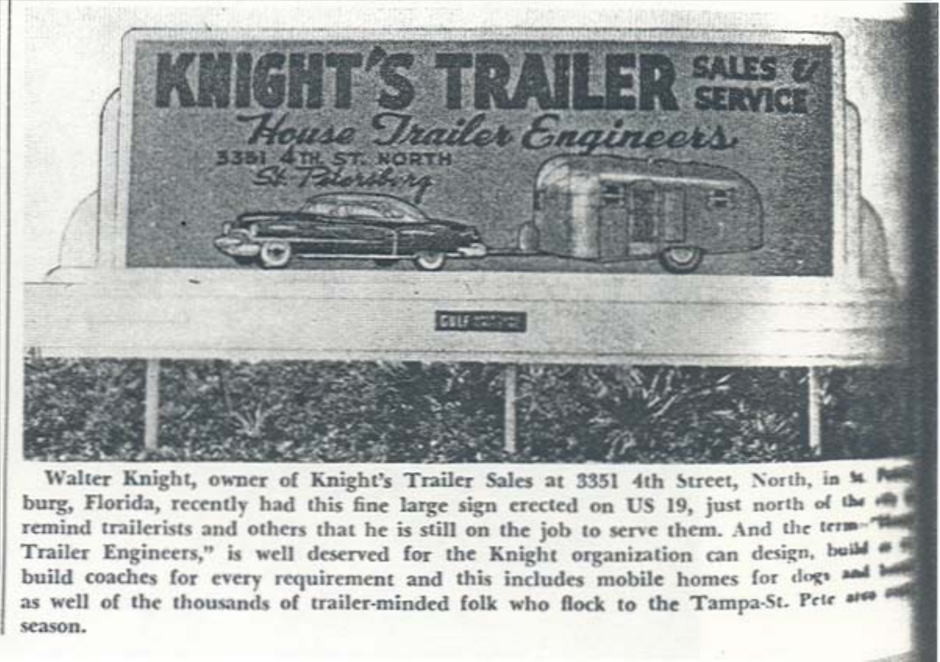

Walter Knight, owner of Knight's Trailer Sales at 3351 4th Street, North, in & N burg, Florida, recently had this fine large sign erected on US 19, just north of the remind trailerists and others that he is still on the job to serve them. And the terma Trailer Engineers," is well deserved for the Knight organization can design, build build coaches for every requirement and this includes mobile homes for dogs and as well of the thousands of trailer-minded folk who flock to the Tampa-St. Pete area season.